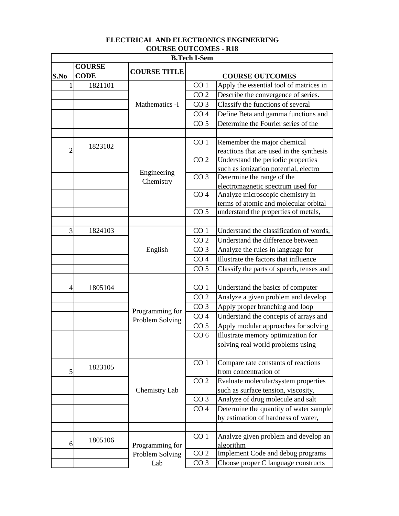| <b>B.Tech I-Sem</b> |                              |                     |                                   |                                                                             |  |
|---------------------|------------------------------|---------------------|-----------------------------------|-----------------------------------------------------------------------------|--|
| S.No                | <b>COURSE</b><br><b>CODE</b> | <b>COURSE TITLE</b> |                                   | <b>COURSE OUTCOMES</b>                                                      |  |
| 1                   | 1821101                      |                     | CO <sub>1</sub>                   | Apply the essential tool of matrices in                                     |  |
|                     |                              |                     | CO <sub>2</sub>                   | Describe the convergence of series.                                         |  |
|                     |                              | Mathematics -I      | CO <sub>3</sub>                   | Classify the functions of several                                           |  |
|                     |                              |                     | CO <sub>4</sub>                   | Define Beta and gamma functions and                                         |  |
|                     |                              |                     | CO <sub>5</sub>                   | Determine the Fourier series of the                                         |  |
|                     |                              |                     |                                   |                                                                             |  |
| $\overline{2}$      | 1823102                      |                     | CO <sub>1</sub>                   | Remember the major chemical                                                 |  |
|                     |                              |                     | CO <sub>2</sub>                   | reactions that are used in the synthesis                                    |  |
|                     |                              |                     |                                   | Understand the periodic properties<br>such as ionization potential, electro |  |
|                     |                              | Engineering         | CO <sub>3</sub>                   | Determine the range of the                                                  |  |
|                     |                              | Chemistry           |                                   | electromagnetic spectrum used for                                           |  |
|                     |                              |                     | CO <sub>4</sub>                   | Analyze microscopic chemistry in                                            |  |
|                     |                              |                     |                                   | terms of atomic and molecular orbital                                       |  |
|                     |                              |                     | CO <sub>5</sub>                   | understand the properties of metals,                                        |  |
|                     |                              |                     |                                   |                                                                             |  |
| 3                   | 1824103                      |                     | CO <sub>1</sub>                   | Understand the classification of words,                                     |  |
|                     |                              | CO <sub>2</sub>     | Understand the difference between |                                                                             |  |
|                     |                              | English             | CO <sub>3</sub>                   | Analyze the rules in language for                                           |  |
|                     |                              |                     | CO <sub>4</sub>                   | Illustrate the factors that influence                                       |  |
|                     |                              |                     | CO <sub>5</sub>                   | Classify the parts of speech, tenses and                                    |  |
|                     |                              |                     |                                   |                                                                             |  |
| $\overline{4}$      | 1805104                      |                     | CO <sub>1</sub>                   | Understand the basics of computer                                           |  |
|                     |                              |                     | CO <sub>2</sub>                   | Analyze a given problem and develop                                         |  |
|                     |                              |                     | CO <sub>3</sub>                   | Apply proper branching and loop                                             |  |
|                     |                              | Programming for     | CO <sub>4</sub>                   | Understand the concepts of arrays and                                       |  |
|                     |                              | Problem Solving     | CO <sub>5</sub>                   | Apply modular approaches for solving                                        |  |
|                     |                              |                     | CO <sub>6</sub>                   | Illustrate memory optimization for                                          |  |
|                     |                              |                     |                                   | solving real world problems using                                           |  |
|                     |                              |                     |                                   |                                                                             |  |
|                     |                              |                     | CO <sub>1</sub>                   | Compare rate constants of reactions                                         |  |
| 5                   | 1823105                      |                     |                                   | from concentration of                                                       |  |
|                     |                              | Chemistry Lab       | CO <sub>2</sub>                   | Evaluate molecular/system properties                                        |  |
|                     |                              |                     |                                   | such as surface tension, viscosity,                                         |  |
|                     |                              |                     | CO <sub>3</sub>                   | Analyze of drug molecule and salt                                           |  |
|                     |                              |                     | CO <sub>4</sub>                   | Determine the quantity of water sample                                      |  |
|                     |                              |                     |                                   | by estimation of hardness of water,                                         |  |
|                     |                              |                     |                                   |                                                                             |  |
|                     | 1805106                      |                     | CO <sub>1</sub>                   | Analyze given problem and develop an                                        |  |
| 6                   | Programming for              |                     | algorithm                         |                                                                             |  |
|                     |                              | Problem Solving     | CO <sub>2</sub>                   | <b>Implement Code and debug programs</b>                                    |  |
|                     |                              | Lab                 | CO <sub>3</sub>                   | Choose proper C language constructs                                         |  |

## **ELECTRICAL AND ELECTRONICS ENGINEERING COURSE OUTCOMES - R18**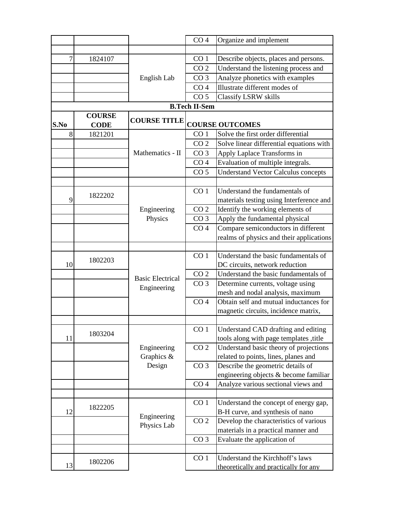|      |                              |                           | CO <sub>4</sub>                  | Organize and implement                                                           |
|------|------------------------------|---------------------------|----------------------------------|----------------------------------------------------------------------------------|
|      |                              |                           |                                  |                                                                                  |
| 7    | 1824107                      |                           | CO <sub>1</sub>                  | Describe objects, places and persons.                                            |
|      |                              |                           | CO <sub>2</sub>                  | Understand the listening process and                                             |
|      |                              | English Lab               | CO <sub>3</sub>                  | Analyze phonetics with examples                                                  |
|      |                              |                           | CO <sub>4</sub>                  | Illustrate different modes of                                                    |
|      |                              |                           | CO <sub>5</sub>                  | <b>Classify LSRW skills</b>                                                      |
|      |                              |                           | <b>B.Tech II-Sem</b>             |                                                                                  |
| S.No | <b>COURSE</b><br><b>CODE</b> | <b>COURSE TITLE</b>       |                                  | <b>COURSE OUTCOMES</b>                                                           |
| 8    | 1821201                      |                           | CO <sub>1</sub>                  | Solve the first order differential                                               |
|      |                              |                           | CO <sub>2</sub>                  | Solve linear differential equations with                                         |
|      |                              | Mathematics - II          | CO <sub>3</sub>                  | Apply Laplace Transforms in                                                      |
|      |                              |                           | CO <sub>4</sub>                  | Evaluation of multiple integrals.                                                |
|      |                              |                           | CO <sub>5</sub>                  | <b>Understand Vector Calculus concepts</b>                                       |
|      |                              |                           |                                  |                                                                                  |
|      | 1822202                      |                           | CO <sub>1</sub>                  | Understand the fundamentals of                                                   |
| 9    |                              |                           |                                  | materials testing using Interference and                                         |
|      |                              | Engineering               | CO <sub>2</sub>                  | Identify the working elements of                                                 |
|      |                              | Physics                   | CO <sub>3</sub>                  | Apply the fundamental physical                                                   |
|      |                              |                           | CO <sub>4</sub>                  | Compare semiconductors in different                                              |
|      |                              |                           |                                  | realms of physics and their applications                                         |
|      |                              |                           |                                  |                                                                                  |
|      | 1802203                      |                           | CO <sub>1</sub>                  | Understand the basic fundamentals of                                             |
| 10   |                              |                           |                                  | DC circuits, network reduction                                                   |
|      |                              | <b>Basic Electrical</b>   | CO <sub>2</sub>                  | Understand the basic fundamentals of                                             |
|      |                              | Engineering               | CO <sub>3</sub>                  | Determine currents, voltage using                                                |
|      |                              |                           |                                  | mesh and nodal analysis, maximum                                                 |
|      |                              |                           | CO <sub>4</sub>                  | Obtain self and mutual inductances for                                           |
|      |                              |                           |                                  | magnetic circuits, incidence matrix,                                             |
|      |                              |                           |                                  |                                                                                  |
| 11   | 1803204                      |                           | CO <sub>1</sub>                  | Understand CAD drafting and editing                                              |
|      |                              |                           | CO <sub>2</sub>                  | tools along with page templates ,title<br>Understand basic theory of projections |
|      |                              | Engineering<br>Graphics & |                                  | related to points, lines, planes and                                             |
|      |                              | Design                    | CO <sub>3</sub>                  | Describe the geometric details of                                                |
|      |                              |                           |                                  | engineering objects & become familiar                                            |
|      |                              |                           | CO <sub>4</sub>                  | Analyze various sectional views and                                              |
|      |                              |                           |                                  |                                                                                  |
|      |                              |                           | CO <sub>1</sub>                  | Understand the concept of energy gap,                                            |
| 12   | 1822205                      |                           | B-H curve, and synthesis of nano |                                                                                  |
|      |                              | Engineering               | CO <sub>2</sub>                  | Develop the characteristics of various                                           |
|      |                              | Physics Lab               |                                  | materials in a practical manner and                                              |
|      |                              |                           | CO <sub>3</sub>                  | Evaluate the application of                                                      |
|      |                              |                           |                                  |                                                                                  |
|      |                              |                           | CO <sub>1</sub>                  | Understand the Kirchhoff's laws                                                  |
| 13   | 1802206                      |                           |                                  | theoretically and practically for any                                            |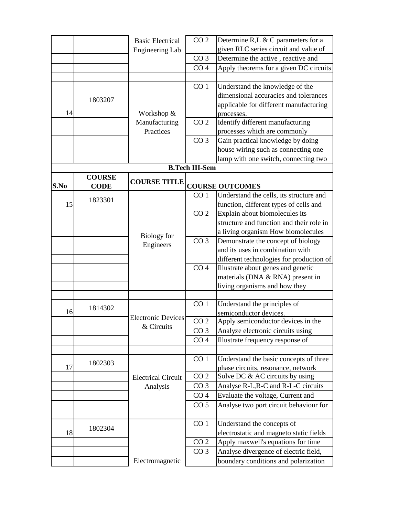|      |               | <b>Basic Electrical</b>   | CO <sub>2</sub>       | Determine R,L $\&$ C parameters for a                        |
|------|---------------|---------------------------|-----------------------|--------------------------------------------------------------|
|      |               | <b>Engineering Lab</b>    |                       | given RLC series circuit and value of                        |
|      |               |                           | CO <sub>3</sub>       | Determine the active, reactive and                           |
|      |               |                           | CO <sub>4</sub>       | Apply theorems for a given DC circuits                       |
|      |               |                           |                       |                                                              |
|      |               |                           | CO <sub>1</sub>       | Understand the knowledge of the                              |
|      |               |                           |                       | dimensional accuracies and tolerances                        |
|      | 1803207       |                           |                       | applicable for different manufacturing                       |
| 14   |               | Workshop &                |                       | processes.                                                   |
|      |               | Manufacturing             | CO <sub>2</sub>       | Identify different manufacturing                             |
|      |               | Practices                 |                       | processes which are commonly                                 |
|      |               |                           | CO <sub>3</sub>       | Gain practical knowledge by doing                            |
|      |               |                           |                       | house wiring such as connecting one                          |
|      |               |                           |                       | lamp with one switch, connecting two                         |
|      |               |                           | <b>B.Tech III-Sem</b> |                                                              |
|      | <b>COURSE</b> |                           |                       |                                                              |
| S.No | <b>CODE</b>   | <b>COURSE TITLE</b>       |                       | <b>COURSE OUTCOMES</b>                                       |
|      |               |                           | CO <sub>1</sub>       | Understand the cells, its structure and                      |
| 15   | 1823301       |                           |                       | function, different types of cells and                       |
|      |               |                           | CO <sub>2</sub>       | Explain about biomolecules its                               |
|      |               |                           |                       | structure and function and their role in                     |
|      |               |                           |                       | a living organism How biomolecules                           |
|      |               | <b>Biology</b> for        | CO <sub>3</sub>       | Demonstrate the concept of biology                           |
|      |               | Engineers                 |                       | and its uses in combination with                             |
|      |               |                           |                       |                                                              |
|      |               |                           |                       | different technologies for production of                     |
|      |               |                           | CO <sub>4</sub>       | Illustrate about genes and genetic                           |
|      |               |                           |                       | materials (DNA & RNA) present in                             |
|      |               |                           |                       | living organisms and how they                                |
|      |               |                           | CO <sub>1</sub>       |                                                              |
| 16   | 1814302       |                           |                       | Understand the principles of                                 |
|      |               | <b>Electronic Devices</b> | CO <sub>2</sub>       | semiconductor devices.<br>Apply semiconductor devices in the |
|      |               | & Circuits                |                       |                                                              |
|      |               |                           | CO <sub>3</sub>       | Analyze electronic circuits using                            |
|      |               |                           | CO <sub>4</sub>       | Illustrate frequency response of                             |
|      |               |                           |                       |                                                              |
|      | 1802303       |                           | CO <sub>1</sub>       | Understand the basic concepts of three                       |
| 17   |               |                           |                       | phase circuits, resonance, network                           |
|      |               | <b>Electrical Circuit</b> | CO <sub>2</sub>       | Solve DC & AC circuits by using                              |
|      |               | Analysis                  | CO <sub>3</sub>       | Analyse R-L, R-C and R-L-C circuits                          |
|      |               |                           | CO <sub>4</sub>       | Evaluate the voltage, Current and                            |
|      |               |                           | CO <sub>5</sub>       | Analyse two port circuit behaviour for                       |
|      |               |                           |                       |                                                              |
|      | 1802304       |                           | CO <sub>1</sub>       | Understand the concepts of                                   |
| 18   |               |                           |                       | electrostatic and magneto static fields                      |
|      |               |                           | CO <sub>2</sub>       | Apply maxwell's equations for time                           |
|      |               |                           | CO <sub>3</sub>       | Analyse divergence of electric field,                        |
|      |               | Electromagnetic           |                       | boundary conditions and polarization                         |
|      |               |                           |                       |                                                              |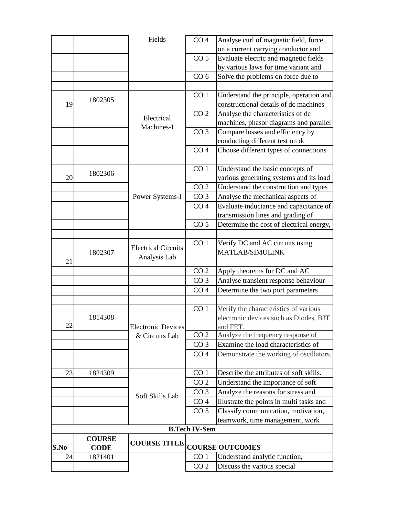|                                      |             | Fields                     | CO <sub>4</sub>      | Analyse curl of magnetic field, force    |
|--------------------------------------|-------------|----------------------------|----------------------|------------------------------------------|
|                                      |             |                            |                      | on a current carrying conductor and      |
|                                      |             |                            | CO <sub>5</sub>      | Evaluate electric and magnetic fields    |
|                                      |             |                            |                      | by various laws for time variant and     |
|                                      |             |                            | CO <sub>6</sub>      | Solve the problems on force due to       |
|                                      |             |                            |                      |                                          |
|                                      |             |                            | CO <sub>1</sub>      | Understand the principle, operation and  |
| 19                                   | 1802305     |                            |                      | constructional details of dc machines    |
|                                      |             |                            | CO <sub>2</sub>      | Analyse the characteristics of dc        |
|                                      |             | Electrical<br>Machines-I   |                      | machines, phasor diagrams and parallel   |
|                                      |             |                            | CO <sub>3</sub>      | Compare losses and efficiency by         |
|                                      |             |                            |                      | conducting different test on dc          |
|                                      |             |                            | CO <sub>4</sub>      | Choose different types of connections    |
|                                      |             |                            |                      |                                          |
|                                      |             |                            | CO <sub>1</sub>      | Understand the basic concepts of         |
| 20                                   | 1802306     |                            |                      | various generating systems and its load  |
|                                      |             |                            | CO <sub>2</sub>      | Understand the construction and types    |
|                                      |             | Power Systems-I            | CO <sub>3</sub>      | Analyse the mechanical aspects of        |
|                                      |             |                            | CO <sub>4</sub>      | Evaluate inductance and capacitance of   |
|                                      |             |                            |                      | transmission lines and grading of        |
|                                      |             |                            | CO <sub>5</sub>      | Determine the cost of electrical energy, |
|                                      |             |                            |                      |                                          |
|                                      |             | <b>Electrical Circuits</b> | CO <sub>1</sub>      | Verify DC and AC circuits using          |
|                                      | 1802307     |                            |                      | <b>MATLAB/SIMULINK</b>                   |
| 21                                   |             | Analysis Lab               |                      |                                          |
|                                      |             |                            | CO <sub>2</sub>      | Apply theorems for DC and AC             |
|                                      |             |                            | CO <sub>3</sub>      | Analyse transient response behaviour     |
|                                      |             |                            | CO <sub>4</sub>      | Determine the two port parameters        |
|                                      |             |                            |                      |                                          |
|                                      |             |                            | CO <sub>1</sub>      | Verify the characteristics of various    |
|                                      | 1814308     |                            |                      | electronic devices such as Diodes, BJT   |
| 22                                   |             | <b>Electronic Devices</b>  |                      | and FET.                                 |
|                                      |             | & Circuits Lab             | CO <sub>2</sub>      | Analyze the frequency response of        |
|                                      |             |                            | CO <sub>3</sub>      | Examine the load characteristics of      |
|                                      |             |                            | CO <sub>4</sub>      | Demonstrate the working of oscillators.  |
|                                      |             |                            |                      |                                          |
| 23                                   | 1824309     |                            | CO <sub>1</sub>      | Describe the attributes of soft skills.  |
|                                      |             |                            | CO <sub>2</sub>      | Understand the importance of soft        |
|                                      |             | Soft Skills Lab            | CO <sub>3</sub>      | Analyze the reasons for stress and       |
|                                      |             |                            | CO <sub>4</sub>      | Illustrate the points in multi tasks and |
|                                      |             |                            | CO <sub>5</sub>      | Classify communication, motivation,      |
|                                      |             |                            |                      | teamwork, time management, work          |
|                                      |             |                            | <b>B.Tech IV-Sem</b> |                                          |
| <b>COURSE</b><br><b>COURSE TITLE</b> |             |                            |                      |                                          |
| S.No                                 | <b>CODE</b> |                            |                      | <b>COURSE OUTCOMES</b>                   |
| 24                                   | 1821401     |                            | CO <sub>1</sub>      | Understand analytic function,            |
|                                      |             |                            | CO <sub>2</sub>      | Discuss the various special              |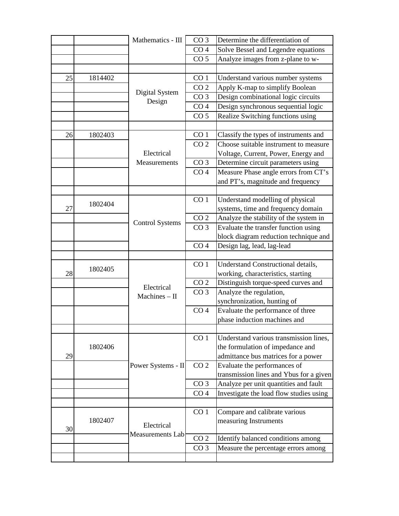|    |         | Mathematics - III      | CO <sub>3</sub> | Determine the differentiation of        |
|----|---------|------------------------|-----------------|-----------------------------------------|
|    |         |                        | CO <sub>4</sub> | Solve Bessel and Legendre equations     |
|    |         |                        | CO <sub>5</sub> | Analyze images from z-plane to w-       |
|    |         |                        |                 |                                         |
| 25 | 1814402 |                        | CO <sub>1</sub> | Understand various number systems       |
|    |         |                        | CO <sub>2</sub> | Apply K-map to simplify Boolean         |
|    |         | Digital System         | CO <sub>3</sub> | Design combinational logic circuits     |
|    |         | Design                 | CO <sub>4</sub> | Design synchronous sequential logic     |
|    |         |                        | CO <sub>5</sub> | Realize Switching functions using       |
|    |         |                        |                 |                                         |
| 26 | 1802403 |                        | CO <sub>1</sub> | Classify the types of instruments and   |
|    |         |                        | CO <sub>2</sub> | Choose suitable instrument to measure   |
|    |         | Electrical             |                 | Voltage, Current, Power, Energy and     |
|    |         | Measurements           | CO <sub>3</sub> | Determine circuit parameters using      |
|    |         |                        | CO <sub>4</sub> | Measure Phase angle errors from CT's    |
|    |         |                        |                 | and PT's, magnitude and frequency       |
|    |         |                        |                 |                                         |
|    |         |                        | CO <sub>1</sub> | Understand modelling of physical        |
| 27 | 1802404 |                        |                 | systems, time and frequency domain      |
|    |         |                        | CO <sub>2</sub> | Analyze the stability of the system in  |
|    |         | <b>Control Systems</b> | CO <sub>3</sub> | Evaluate the transfer function using    |
|    |         |                        |                 | block diagram reduction technique and   |
|    |         |                        | CO <sub>4</sub> | Design lag, lead, lag-lead              |
|    |         |                        |                 |                                         |
|    |         |                        | CO <sub>1</sub> | Understand Constructional details,      |
| 28 | 1802405 |                        |                 | working, characteristics, starting      |
|    |         | Electrical             | CO <sub>2</sub> | Distinguish torque-speed curves and     |
|    |         | $Machines - II$        | CO <sub>3</sub> | Analyze the regulation,                 |
|    |         |                        |                 | synchronization, hunting of             |
|    |         |                        | CO <sub>4</sub> | Evaluate the performance of three       |
|    |         |                        |                 | phase induction machines and            |
|    |         |                        |                 |                                         |
|    |         |                        | CO <sub>1</sub> | Understand various transmission lines,  |
|    | 1802406 |                        |                 | the formulation of impedance and        |
| 29 |         |                        |                 | admittance bus matrices for a power     |
|    |         | Power Systems - II     | CO <sub>2</sub> | Evaluate the performances of            |
|    |         |                        |                 | transmission lines and Ybus for a given |
|    |         |                        | CO <sub>3</sub> | Analyze per unit quantities and fault   |
|    |         |                        | CO <sub>4</sub> | Investigate the load flow studies using |
|    |         |                        |                 |                                         |
|    |         |                        | CO <sub>1</sub> | Compare and calibrate various           |
|    | 1802407 | Electrical             |                 | measuring Instruments                   |
| 30 |         | Measurements Lab       |                 |                                         |
|    |         |                        | CO <sub>2</sub> | Identify balanced conditions among      |
|    |         |                        | CO <sub>3</sub> | Measure the percentage errors among     |
|    |         |                        |                 |                                         |